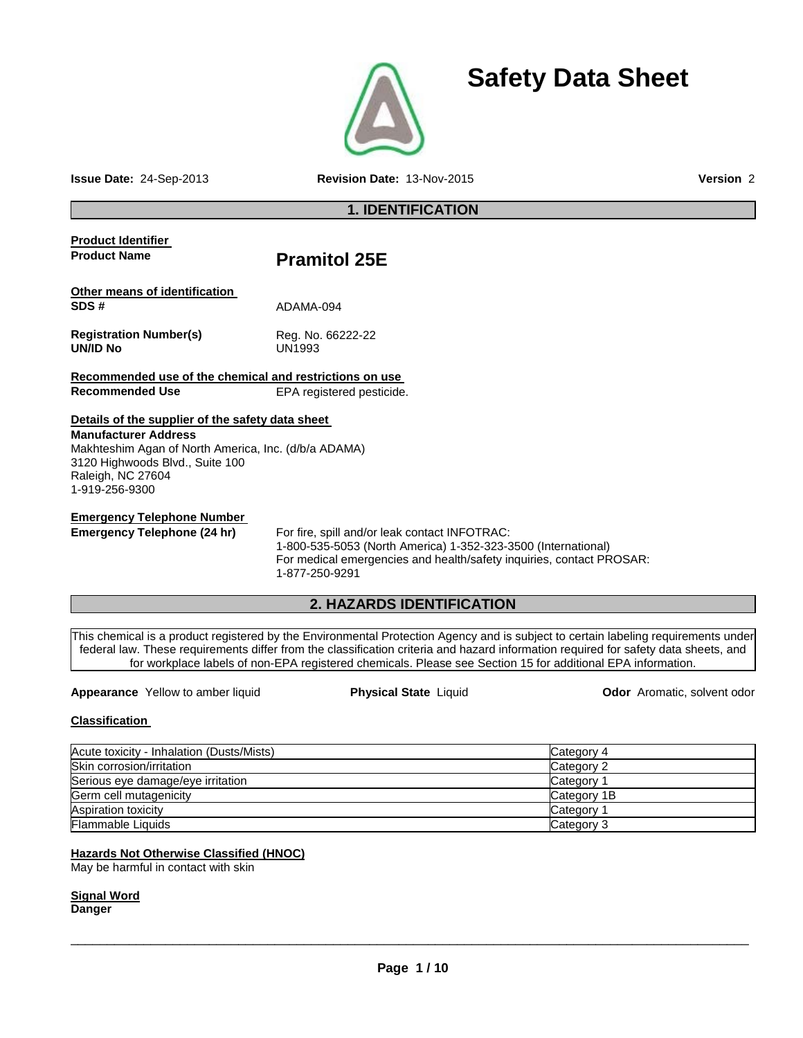

**Issue Date:** 24-Sep-2013 **Revision Date:** 13-Nov-2015 **Version** 2

**Safety Data Sheet**

# **1. IDENTIFICATION**

| <b>Product Identifier</b>                                                                                                                                                                                         |                                                                                                                                                                                                                                                                                                                                                                                                                          |                             |  |
|-------------------------------------------------------------------------------------------------------------------------------------------------------------------------------------------------------------------|--------------------------------------------------------------------------------------------------------------------------------------------------------------------------------------------------------------------------------------------------------------------------------------------------------------------------------------------------------------------------------------------------------------------------|-----------------------------|--|
| <b>Product Name</b>                                                                                                                                                                                               | <b>Pramitol 25E</b>                                                                                                                                                                                                                                                                                                                                                                                                      |                             |  |
| Other means of identification                                                                                                                                                                                     |                                                                                                                                                                                                                                                                                                                                                                                                                          |                             |  |
| SDS#                                                                                                                                                                                                              | ADAMA-094                                                                                                                                                                                                                                                                                                                                                                                                                |                             |  |
| <b>Registration Number(s)</b><br>UN/ID No                                                                                                                                                                         | Reg. No. 66222-22<br>UN1993                                                                                                                                                                                                                                                                                                                                                                                              |                             |  |
| Recommended use of the chemical and restrictions on use                                                                                                                                                           |                                                                                                                                                                                                                                                                                                                                                                                                                          |                             |  |
| <b>Recommended Use</b>                                                                                                                                                                                            | EPA registered pesticide.                                                                                                                                                                                                                                                                                                                                                                                                |                             |  |
| Details of the supplier of the safety data sheet<br><b>Manufacturer Address</b><br>Makhteshim Agan of North America, Inc. (d/b/a ADAMA)<br>3120 Highwoods Blvd., Suite 100<br>Raleigh, NC 27604<br>1-919-256-9300 |                                                                                                                                                                                                                                                                                                                                                                                                                          |                             |  |
| <b>Emergency Telephone Number</b><br>Emergency Telephone (24 hr)                                                                                                                                                  | For fire, spill and/or leak contact INFOTRAC:<br>1-800-535-5053 (North America) 1-352-323-3500 (International)<br>For medical emergencies and health/safety inquiries, contact PROSAR:<br>1-877-250-9291                                                                                                                                                                                                                 |                             |  |
|                                                                                                                                                                                                                   | 2. HAZARDS IDENTIFICATION                                                                                                                                                                                                                                                                                                                                                                                                |                             |  |
| <b>Appearance</b> Yellow to amber liquid                                                                                                                                                                          | This chemical is a product registered by the Environmental Protection Agency and is subject to certain labeling requirements under<br>federal law. These requirements differ from the classification criteria and hazard information required for safety data sheets, and<br>for workplace labels of non-EPA registered chemicals. Please see Section 15 for additional EPA information.<br><b>Physical State Liquid</b> | Odor Aromatic, solvent odor |  |
| <b>Classification</b>                                                                                                                                                                                             |                                                                                                                                                                                                                                                                                                                                                                                                                          |                             |  |
| Acute toxicity - Inhalation (Dusts/Mists)                                                                                                                                                                         |                                                                                                                                                                                                                                                                                                                                                                                                                          | Category 4                  |  |
| Skin corrosion/irritation                                                                                                                                                                                         |                                                                                                                                                                                                                                                                                                                                                                                                                          | Category 2                  |  |
| Serious eye damage/eye irritation                                                                                                                                                                                 |                                                                                                                                                                                                                                                                                                                                                                                                                          | Category 1                  |  |
| Germ cell mutagenicity                                                                                                                                                                                            |                                                                                                                                                                                                                                                                                                                                                                                                                          | Category 1B                 |  |
| Aspiration toxicity                                                                                                                                                                                               |                                                                                                                                                                                                                                                                                                                                                                                                                          | Category 1                  |  |
| <b>Flammable Liquids</b>                                                                                                                                                                                          |                                                                                                                                                                                                                                                                                                                                                                                                                          | Category 3                  |  |
|                                                                                                                                                                                                                   |                                                                                                                                                                                                                                                                                                                                                                                                                          |                             |  |

### **Hazards Not Otherwise Classified (HNOC)**

May be harmful in contact with skin

**Signal Word Danger**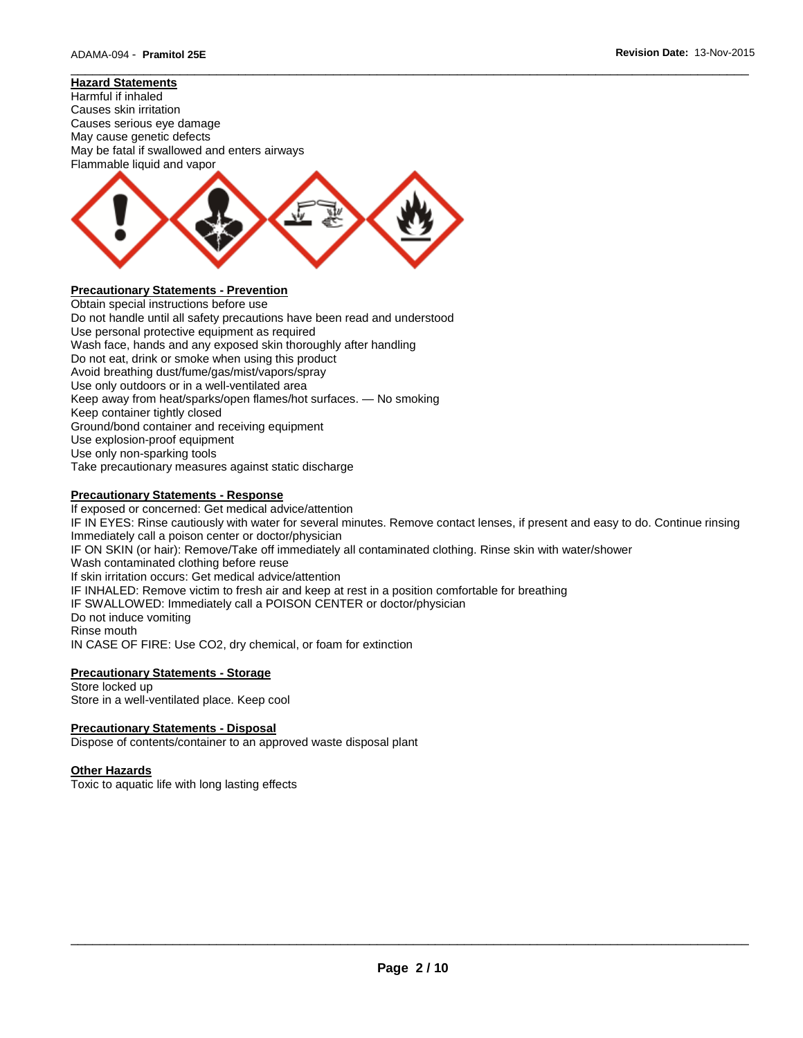# **Hazard Statements**





# **Precautionary Statements - Prevention**

Obtain special instructions before use Do not handle until all safety precautions have been read and understood Use personal protective equipment as required Wash face, hands and any exposed skin thoroughly after handling Do not eat, drink or smoke when using this product Avoid breathing dust/fume/gas/mist/vapors/spray Use only outdoors or in a well-ventilated area Keep away from heat/sparks/open flames/hot surfaces. — No smoking Keep container tightly closed Ground/bond container and receiving equipment Use explosion-proof equipment Use only non-sparking tools Take precautionary measures against static discharge

# **Precautionary Statements - Response**

If exposed or concerned: Get medical advice/attention IF IN EYES: Rinse cautiously with water for several minutes. Remove contact lenses, if present and easy to do. Continue rinsing Immediately call a poison center or doctor/physician IF ON SKIN (or hair): Remove/Take off immediately all contaminated clothing. Rinse skin with water/shower Wash contaminated clothing before reuse If skin irritation occurs: Get medical advice/attention IF INHALED: Remove victim to fresh air and keep at rest in a position comfortable for breathing IF SWALLOWED: Immediately call a POISON CENTER or doctor/physician Do not induce vomiting Rinse mouth IN CASE OF FIRE: Use CO2, dry chemical, or foam for extinction

\_\_\_\_\_\_\_\_\_\_\_\_\_\_\_\_\_\_\_\_\_\_\_\_\_\_\_\_\_\_\_\_\_\_\_\_\_\_\_\_\_\_\_\_\_\_\_\_\_\_\_\_\_\_\_\_\_\_\_\_\_\_\_\_\_\_\_\_\_\_\_\_\_\_\_\_\_\_\_\_\_\_\_\_\_\_\_\_\_\_\_\_\_

### **Precautionary Statements - Storage**

Store locked up Store in a well-ventilated place. Keep cool

### **Precautionary Statements - Disposal**

Dispose of contents/container to an approved waste disposal plant

#### **Other Hazards**

Toxic to aquatic life with long lasting effects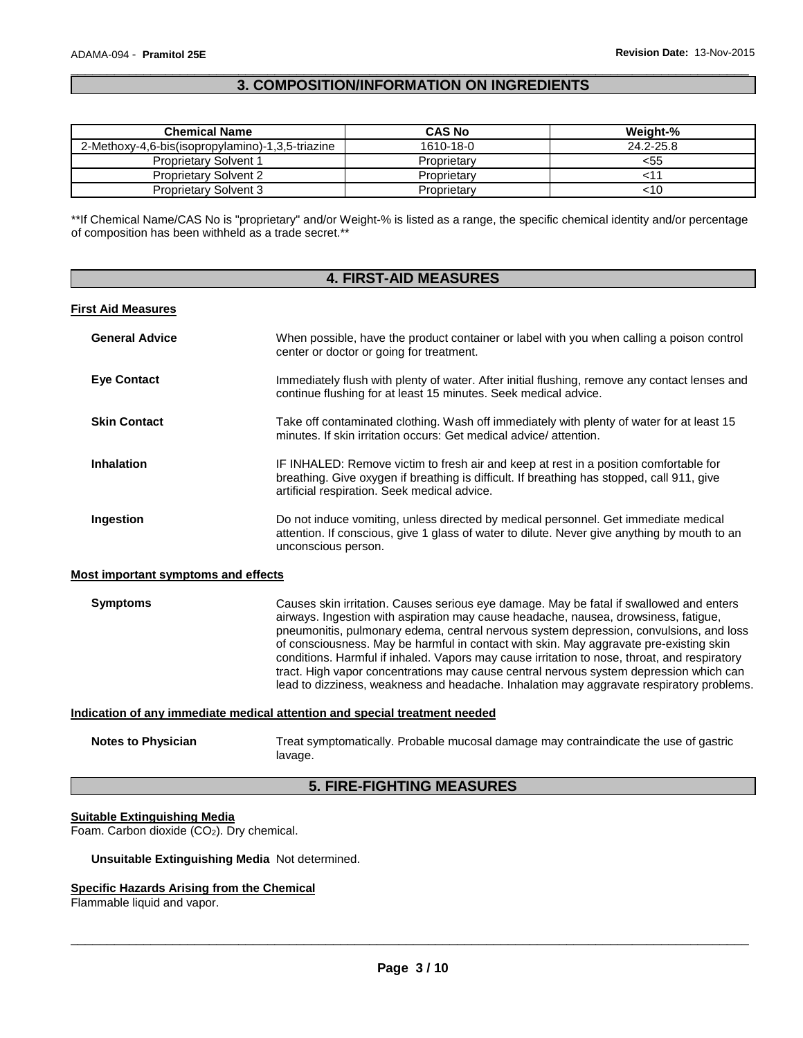# \_\_\_\_\_\_\_\_\_\_\_\_\_\_\_\_\_\_\_\_\_\_\_\_\_\_\_\_\_\_\_\_\_\_\_\_\_\_\_\_\_\_\_\_\_\_\_\_\_\_\_\_\_\_\_\_\_\_\_\_\_\_\_\_\_\_\_\_\_\_\_\_\_\_\_\_\_\_\_\_\_\_\_\_\_\_\_\_\_\_\_\_\_ **3. COMPOSITION/INFORMATION ON INGREDIENTS**

| <b>Chemical Name</b>                             | <b>CAS No</b> | Weight-%  |
|--------------------------------------------------|---------------|-----------|
| 2-Methoxy-4,6-bis(isopropylamino)-1,3,5-triazine | 1610-18-0     | 24.2-25.8 |
| <b>Proprietary Solvent 1</b>                     | Proprietary   | <55       |
| <b>Proprietary Solvent 2</b>                     | Proprietary   |           |
| <b>Proprietary Solvent 3</b>                     | Proprietary   | <10       |

\*\*If Chemical Name/CAS No is "proprietary" and/or Weight-% is listed as a range, the specific chemical identity and/or percentage of composition has been withheld as a trade secret.\*\*

| <b>4. FIRST-AID MEASURES</b>                                               |                                                                                                                                                                                                                                                                                                                                                                                                                                                                                                                                                                                                                                                          |  |  |
|----------------------------------------------------------------------------|----------------------------------------------------------------------------------------------------------------------------------------------------------------------------------------------------------------------------------------------------------------------------------------------------------------------------------------------------------------------------------------------------------------------------------------------------------------------------------------------------------------------------------------------------------------------------------------------------------------------------------------------------------|--|--|
| <b>First Aid Measures</b>                                                  |                                                                                                                                                                                                                                                                                                                                                                                                                                                                                                                                                                                                                                                          |  |  |
| <b>General Advice</b>                                                      | When possible, have the product container or label with you when calling a poison control<br>center or doctor or going for treatment.                                                                                                                                                                                                                                                                                                                                                                                                                                                                                                                    |  |  |
| <b>Eye Contact</b>                                                         | Immediately flush with plenty of water. After initial flushing, remove any contact lenses and<br>continue flushing for at least 15 minutes. Seek medical advice.                                                                                                                                                                                                                                                                                                                                                                                                                                                                                         |  |  |
| <b>Skin Contact</b>                                                        | Take off contaminated clothing. Wash off immediately with plenty of water for at least 15<br>minutes. If skin irritation occurs: Get medical advice/attention.                                                                                                                                                                                                                                                                                                                                                                                                                                                                                           |  |  |
| <b>Inhalation</b>                                                          | IF INHALED: Remove victim to fresh air and keep at rest in a position comfortable for<br>breathing. Give oxygen if breathing is difficult. If breathing has stopped, call 911, give<br>artificial respiration. Seek medical advice.                                                                                                                                                                                                                                                                                                                                                                                                                      |  |  |
| Ingestion                                                                  | Do not induce vomiting, unless directed by medical personnel. Get immediate medical<br>attention. If conscious, give 1 glass of water to dilute. Never give anything by mouth to an<br>unconscious person.                                                                                                                                                                                                                                                                                                                                                                                                                                               |  |  |
| <b>Most important symptoms and effects</b>                                 |                                                                                                                                                                                                                                                                                                                                                                                                                                                                                                                                                                                                                                                          |  |  |
| <b>Symptoms</b>                                                            | Causes skin irritation. Causes serious eye damage. May be fatal if swallowed and enters<br>airways. Ingestion with aspiration may cause headache, nausea, drowsiness, fatigue,<br>pneumonitis, pulmonary edema, central nervous system depression, convulsions, and loss<br>of consciousness. May be harmful in contact with skin. May aggravate pre-existing skin<br>conditions. Harmful if inhaled. Vapors may cause irritation to nose, throat, and respiratory<br>tract. High vapor concentrations may cause central nervous system depression which can<br>lead to dizziness, weakness and headache. Inhalation may aggravate respiratory problems. |  |  |
| Indication of any immediate medical attention and special treatment needed |                                                                                                                                                                                                                                                                                                                                                                                                                                                                                                                                                                                                                                                          |  |  |
| <b>Notes to Physician</b>                                                  | Treat symptomatically. Probable mucosal damage may contraindicate the use of gastric<br>lavage.                                                                                                                                                                                                                                                                                                                                                                                                                                                                                                                                                          |  |  |

# **5. FIRE-FIGHTING MEASURES**

# **Suitable Extinguishing Media**

Foam. Carbon dioxide  $(CO<sub>2</sub>)$ . Dry chemical.

### **Unsuitable Extinguishing Media** Not determined.

### **Specific Hazards Arising from the Chemical**

Flammable liquid and vapor.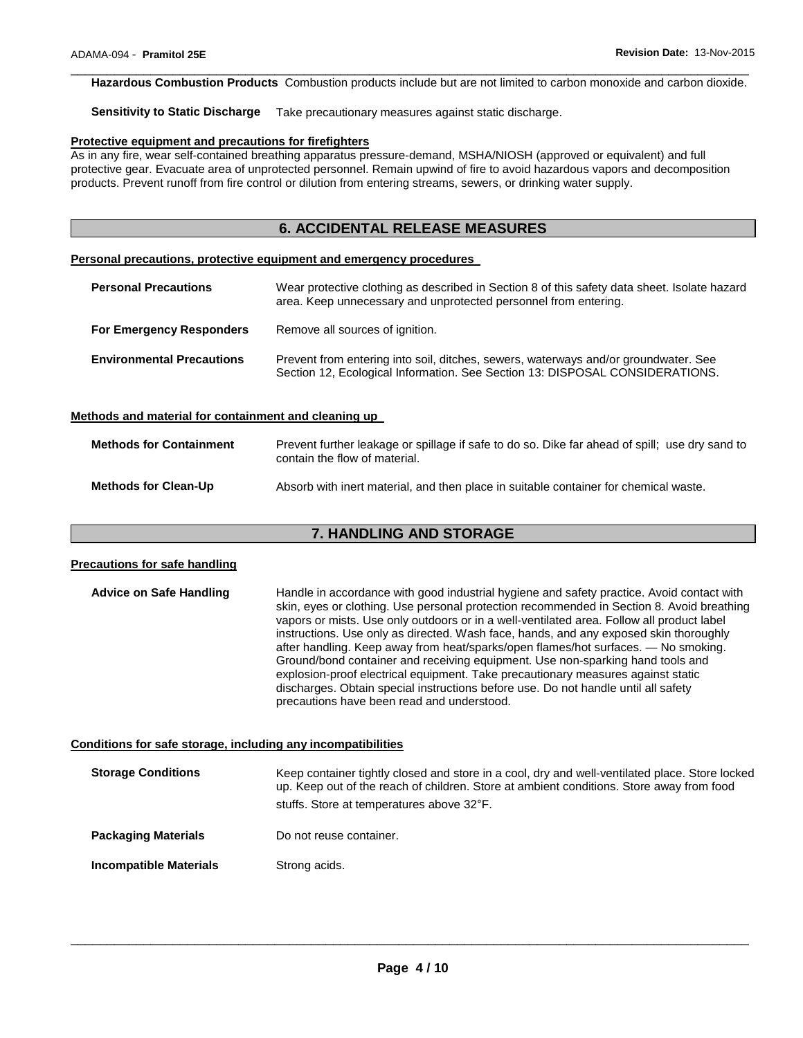\_\_\_\_\_\_\_\_\_\_\_\_\_\_\_\_\_\_\_\_\_\_\_\_\_\_\_\_\_\_\_\_\_\_\_\_\_\_\_\_\_\_\_\_\_\_\_\_\_\_\_\_\_\_\_\_\_\_\_\_\_\_\_\_\_\_\_\_\_\_\_\_\_\_\_\_\_\_\_\_\_\_\_\_\_\_\_\_\_\_\_\_\_ **Hazardous Combustion Products** Combustion products include but are not limited to carbon monoxide and carbon dioxide.

**Sensitivity to Static Discharge** Take precautionary measures against static discharge.

#### **Protective equipment and precautions for firefighters**

As in any fire, wear self-contained breathing apparatus pressure-demand, MSHA/NIOSH (approved or equivalent) and full protective gear. Evacuate area of unprotected personnel. Remain upwind of fire to avoid hazardous vapors and decomposition products. Prevent runoff from fire control or dilution from entering streams, sewers, or drinking water supply.

# **6. ACCIDENTAL RELEASE MEASURES**

#### **Personal precautions, protective equipment and emergency procedures**

| <b>Personal Precautions</b>      | Wear protective clothing as described in Section 8 of this safety data sheet. Isolate hazard<br>area. Keep unnecessary and unprotected personnel from entering.     |  |
|----------------------------------|---------------------------------------------------------------------------------------------------------------------------------------------------------------------|--|
| <b>For Emergency Responders</b>  | Remove all sources of ignition.                                                                                                                                     |  |
| <b>Environmental Precautions</b> | Prevent from entering into soil, ditches, sewers, waterways and/or groundwater. See<br>Section 12, Ecological Information. See Section 13: DISPOSAL CONSIDERATIONS. |  |

#### **Methods and material for containment and cleaning up**

| <b>Methods for Containment</b> | Prevent further leakage or spillage if safe to do so. Dike far ahead of spill; use dry sand to<br>contain the flow of material. |
|--------------------------------|---------------------------------------------------------------------------------------------------------------------------------|
| <b>Methods for Clean-Up</b>    | Absorb with inert material, and then place in suitable container for chemical waste.                                            |

# **7. HANDLING AND STORAGE**

# **Precautions for safe handling Advice on Safe Handling** Handle in accordance with good industrial hygiene and safety practice. Avoid contact with skin, eyes or clothing. Use personal protection recommended in Section 8. Avoid breathing vapors or mists. Use only outdoors or in a well-ventilated area. Follow all product label instructions. Use only as directed. Wash face, hands, and any exposed skin thoroughly after handling. Keep away from heat/sparks/open flames/hot surfaces. — No smoking. Ground/bond container and receiving equipment. Use non-sparking hand tools and explosion-proof electrical equipment. Take precautionary measures against static discharges. Obtain special instructions before use. Do not handle until all safety precautions have been read and understood. **Conditions for safe storage, including any incompatibilities Storage Conditions** Keep container tightly closed and store in a cool, dry and well-ventilated place. Store locked up. Keep out of the reach of children. Store at ambient conditions. Store away from food stuffs. Store at temperatures above 32°F. **Packaging Materials Do not reuse container. Incompatible Materials Strong acids.**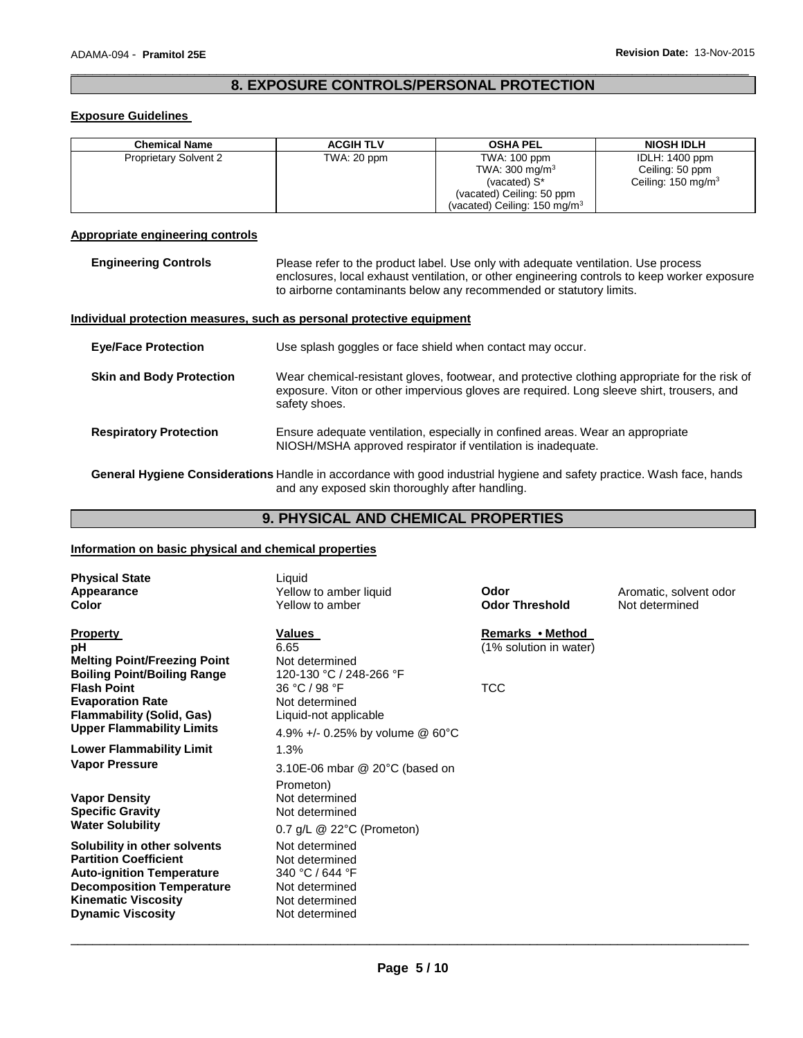# \_\_\_\_\_\_\_\_\_\_\_\_\_\_\_\_\_\_\_\_\_\_\_\_\_\_\_\_\_\_\_\_\_\_\_\_\_\_\_\_\_\_\_\_\_\_\_\_\_\_\_\_\_\_\_\_\_\_\_\_\_\_\_\_\_\_\_\_\_\_\_\_\_\_\_\_\_\_\_\_\_\_\_\_\_\_\_\_\_\_\_\_\_ **8. EXPOSURE CONTROLS/PERSONAL PROTECTION**

# **Exposure Guidelines**

| <b>Chemical Name</b>         | <b>ACGIH TLV</b> | <b>OSHA PEL</b>                         | <b>NIOSH IDLH</b>             |
|------------------------------|------------------|-----------------------------------------|-------------------------------|
| <b>Proprietary Solvent 2</b> | TWA: 20 ppm      | TWA: 100 ppm                            | <b>IDLH: 1400 ppm</b>         |
|                              |                  | TWA: 300 mg/m <sup>3</sup>              | Ceiling: 50 ppm               |
|                              |                  | (vacated) S <sup>*</sup>                | Ceiling: $150 \text{ mg/m}^3$ |
|                              |                  | (vacated) Ceiling: 50 ppm               |                               |
|                              |                  | (vacated) Ceiling: $150 \text{ mg/m}^3$ |                               |

# **Appropriate engineering controls**

**Engineering Controls** Please refer to the product label. Use only with adequate ventilation. Use process enclosures, local exhaust ventilation, or other engineering controls to keep worker exposure to airborne contaminants below any recommended or statutory limits.

#### **Individual protection measures, such as personal protective equipment**

| <b>Eve/Face Protection</b>      | Use splash goggles or face shield when contact may occur.                                                                                                                                                   |
|---------------------------------|-------------------------------------------------------------------------------------------------------------------------------------------------------------------------------------------------------------|
| <b>Skin and Body Protection</b> | Wear chemical-resistant gloves, footwear, and protective clothing appropriate for the risk of<br>exposure. Viton or other impervious gloves are required. Long sleeve shirt, trousers, and<br>safety shoes. |
| <b>Respiratory Protection</b>   | Ensure adequate ventilation, especially in confined areas. Wear an appropriate<br>NIOSH/MSHA approved respirator if ventilation is inadequate.                                                              |

**General Hygiene Considerations** Handle in accordance with good industrial hygiene and safety practice. Wash face, hands and any exposed skin thoroughly after handling.

# **9. PHYSICAL AND CHEMICAL PROPERTIES**

#### **Information on basic physical and chemical properties**

| <b>Physical State</b><br>Appearance<br>Color                                                                                                                                                   | Liquid<br>Yellow to amber liquid<br>Yellow to amber                                                       | Odor<br><b>Odor Threshold</b>              | Aromatic, solvent odor<br>Not determined |
|------------------------------------------------------------------------------------------------------------------------------------------------------------------------------------------------|-----------------------------------------------------------------------------------------------------------|--------------------------------------------|------------------------------------------|
| <b>Property</b><br>рH<br><b>Melting Point/Freezing Point</b><br><b>Boiling Point/Boiling Range</b>                                                                                             | Values<br>6.65<br>Not determined<br>120-130 °C / 248-266 °F                                               | Remarks • Method<br>(1% solution in water) |                                          |
| <b>Flash Point</b><br><b>Evaporation Rate</b><br><b>Flammability (Solid, Gas)</b><br><b>Upper Flammability Limits</b>                                                                          | 36 °C / 98 °F<br>Not determined<br>Liquid-not applicable<br>4.9% +/- 0.25% by volume @ $60^{\circ}$ C     | <b>TCC</b>                                 |                                          |
| <b>Lower Flammability Limit</b><br><b>Vapor Pressure</b>                                                                                                                                       | 1.3%<br>3.10E-06 mbar $@$ 20 $°C$ (based on                                                               |                                            |                                          |
| <b>Vapor Density</b><br><b>Specific Gravity</b><br><b>Water Solubility</b>                                                                                                                     | Prometon)<br>Not determined<br>Not determined<br>$0.7$ g/L $\circledcirc$ 22°C (Prometon)                 |                                            |                                          |
| Solubility in other solvents<br><b>Partition Coefficient</b><br><b>Auto-ignition Temperature</b><br><b>Decomposition Temperature</b><br><b>Kinematic Viscosity</b><br><b>Dynamic Viscosity</b> | Not determined<br>Not determined<br>340 °C / 644 °F<br>Not determined<br>Not determined<br>Not determined |                                            |                                          |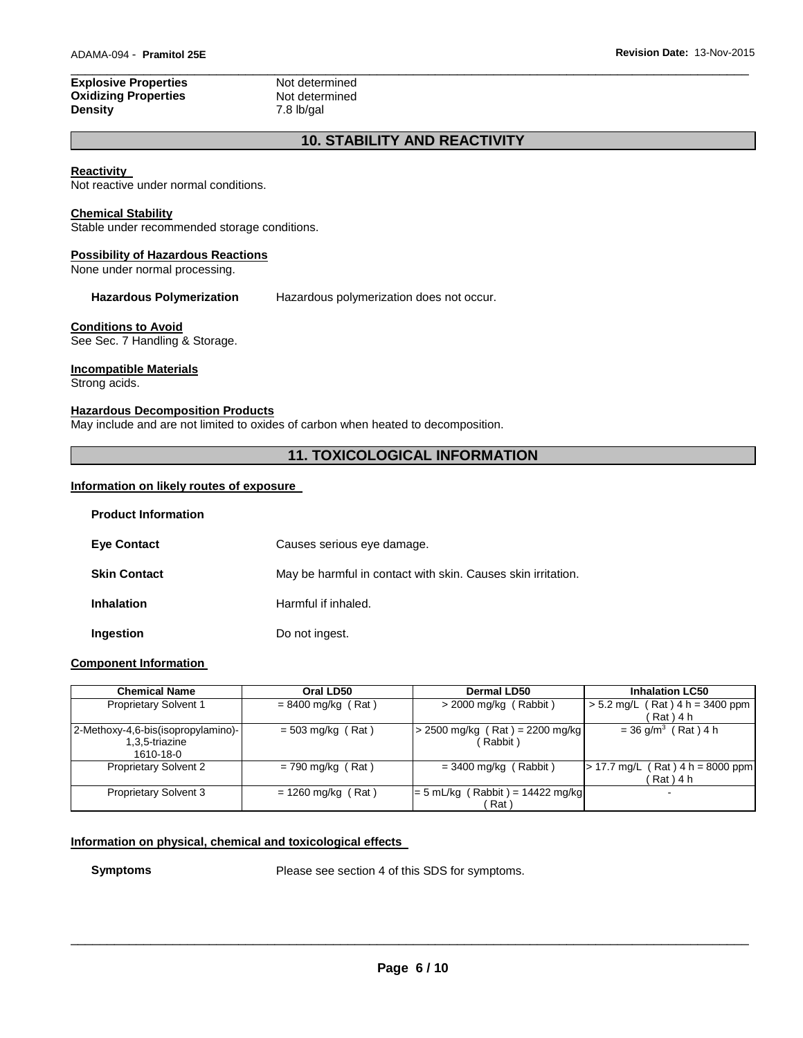### \_\_\_\_\_\_\_\_\_\_\_\_\_\_\_\_\_\_\_\_\_\_\_\_\_\_\_\_\_\_\_\_\_\_\_\_\_\_\_\_\_\_\_\_\_\_\_\_\_\_\_\_\_\_\_\_\_\_\_\_\_\_\_\_\_\_\_\_\_\_\_\_\_\_\_\_\_\_\_\_\_\_\_\_\_\_\_\_\_\_\_\_\_ **Explosive Properties**<br> **Oxidizing Properties**<br> **Not determined Oxidizing Properties<br>Density Density** 7.8 lb/gal

# **10. STABILITY AND REACTIVITY**

### **Reactivity**

Not reactive under normal conditions.

#### **Chemical Stability**

Stable under recommended storage conditions.

#### **Possibility of Hazardous Reactions**

None under normal processing.

**Hazardous Polymerization** Hazardous polymerization does not occur.

#### **Conditions to Avoid**

See Sec. 7 Handling & Storage.

#### **Incompatible Materials**

Strong acids.

### **Hazardous Decomposition Products**

May include and are not limited to oxides of carbon when heated to decomposition.

# **11. TOXICOLOGICAL INFORMATION**

#### **Information on likely routes of exposure**

| <b>Product Information</b> |                                                              |
|----------------------------|--------------------------------------------------------------|
| <b>Eye Contact</b>         | Causes serious eye damage.                                   |
| <b>Skin Contact</b>        | May be harmful in contact with skin. Causes skin irritation. |
| <b>Inhalation</b>          | Harmful if inhaled.                                          |
| Ingestion                  | Do not ingest.                                               |

### **Component Information**

| <b>Chemical Name</b>               | Oral LD50            | <b>Dermal LD50</b>                 | <b>Inhalation LC50</b>                    |
|------------------------------------|----------------------|------------------------------------|-------------------------------------------|
| <b>Proprietary Solvent 1</b>       | $= 8400$ mg/kg (Rat) | $>$ 2000 mg/kg (Rabbit)            | $(Rat)$ 4 h = 3400 ppm<br>$> 5.2$ mg/L    |
|                                    |                      |                                    | Rat ) 4 h                                 |
| 2-Methoxy-4,6-bis(isopropylamino)- | $= 503$ mg/kg (Rat)  | $> 2500$ mg/kg (Rat) = 2200 mg/kg  | $= 36$ g/m <sup>3</sup> (Rat) 4 h         |
| 1.3.5-triazine                     |                      | Rabbit)                            |                                           |
| 1610-18-0                          |                      |                                    |                                           |
| <b>Proprietary Solvent 2</b>       | $= 790$ mg/kg (Rat)  | $=$ 3400 mg/kg (Rabbit)            | $(Rat)$ 4 h = 8000 ppm<br>$> 17.7$ mg/L ( |
|                                    |                      |                                    | Rat ) 4 h                                 |
| <b>Proprietary Solvent 3</b>       | $= 1260$ mg/kg (Rat) | $= 5$ mL/kg (Rabbit) = 14422 mg/kg | $\overline{\phantom{0}}$                  |
|                                    |                      | Rat                                |                                           |

# **Information on physical, chemical and toxicological effects**

**Symptoms** Please see section 4 of this SDS for symptoms.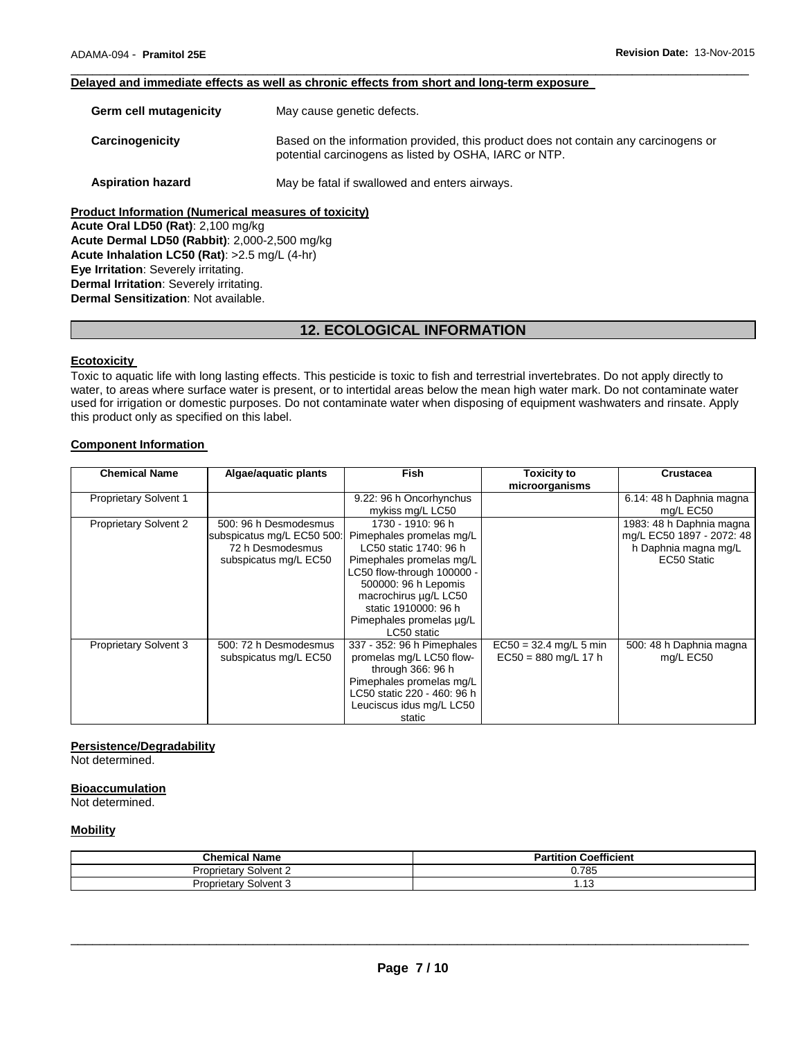#### \_\_\_\_\_\_\_\_\_\_\_\_\_\_\_\_\_\_\_\_\_\_\_\_\_\_\_\_\_\_\_\_\_\_\_\_\_\_\_\_\_\_\_\_\_\_\_\_\_\_\_\_\_\_\_\_\_\_\_\_\_\_\_\_\_\_\_\_\_\_\_\_\_\_\_\_\_\_\_\_\_\_\_\_\_\_\_\_\_\_\_\_\_ **Delayed and immediate effects as well as chronic effects from short and long-term exposure**

| Germ cell mutagenicity                                      | May cause genetic defects.                                                                                                                   |  |  |  |
|-------------------------------------------------------------|----------------------------------------------------------------------------------------------------------------------------------------------|--|--|--|
| Carcinogenicity                                             | Based on the information provided, this product does not contain any carcinogens or<br>potential carcinogens as listed by OSHA, IARC or NTP. |  |  |  |
| <b>Aspiration hazard</b>                                    | May be fatal if swallowed and enters airways.                                                                                                |  |  |  |
| <b>Product Information (Numerical measures of toxicity)</b> |                                                                                                                                              |  |  |  |

**Acute Oral LD50 (Rat)**: 2,100 mg/kg **Acute Dermal LD50 (Rabbit)**: 2,000-2,500 mg/kg **Acute Inhalation LC50 (Rat)**: >2.5 mg/L (4-hr) **Eye Irritation**: Severely irritating. **Dermal Irritation**: Severely irritating. **Dermal Sensitization**: Not available.

# **12. ECOLOGICAL INFORMATION**

# **Ecotoxicity**

Toxic to aquatic life with long lasting effects. This pesticide is toxic to fish and terrestrial invertebrates. Do not apply directly to water, to areas where surface water is present, or to intertidal areas below the mean high water mark. Do not contaminate water used for irrigation or domestic purposes. Do not contaminate water when disposing of equipment washwaters and rinsate. Apply this product only as specified on this label.

#### **Component Information**

| <b>Chemical Name</b>         | Algae/aquatic plants       | <b>Fish</b>                 | <b>Toxicity to</b>       | <b>Crustacea</b>          |
|------------------------------|----------------------------|-----------------------------|--------------------------|---------------------------|
|                              |                            |                             | microorganisms           |                           |
| <b>Proprietary Solvent 1</b> |                            | 9.22: 96 h Oncorhynchus     |                          | 6.14: 48 h Daphnia magna  |
|                              |                            | mykiss mg/L LC50            |                          | mg/L EC50                 |
| <b>Proprietary Solvent 2</b> | 500: 96 h Desmodesmus      | 1730 - 1910: 96 h           |                          | 1983: 48 h Daphnia magna  |
|                              | subspicatus mg/L EC50 500: | Pimephales promelas mg/L    |                          | mg/L EC50 1897 - 2072: 48 |
|                              | 72 h Desmodesmus           | LC50 static 1740: 96 h      |                          | h Daphnia magna mg/L      |
|                              | subspicatus mg/L EC50      | Pimephales promelas mg/L    |                          | EC50 Static               |
|                              |                            | LC50 flow-through 100000 -  |                          |                           |
|                              |                            | 500000: 96 h Lepomis        |                          |                           |
|                              |                            | macrochirus ug/L LC50       |                          |                           |
|                              |                            | static 1910000: 96 h        |                          |                           |
|                              |                            | Pimephales promelas µg/L    |                          |                           |
|                              |                            | LC50 static                 |                          |                           |
| Proprietary Solvent 3        | 500: 72 h Desmodesmus      | 337 - 352: 96 h Pimephales  | $EC50 = 32.4$ mg/L 5 min | 500: 48 h Daphnia magna   |
|                              | subspicatus mg/L EC50      | promelas mg/L LC50 flow-    | $EC50 = 880$ mg/L 17 h   | mg/L EC50                 |
|                              |                            | through 366: 96 h           |                          |                           |
|                              |                            | Pimephales promelas mg/L    |                          |                           |
|                              |                            | LC50 static 220 - 460: 96 h |                          |                           |
|                              |                            | Leuciscus idus mg/L LC50    |                          |                           |
|                              |                            | static                      |                          |                           |

### **Persistence/Degradability**

Not determined.

#### **Bioaccumulation**

Not determined.

#### **Mobility**

| <b>Chemical Name</b>               | <b>Coefficient</b><br>в.<br>tition<br>$\mathbf{a}$ |
|------------------------------------|----------------------------------------------------|
| Solvent 2<br>$1 - 1$<br>'roprietai | 0.785                                              |
| Solvent 3<br>Proprietary           | د ۱۰                                               |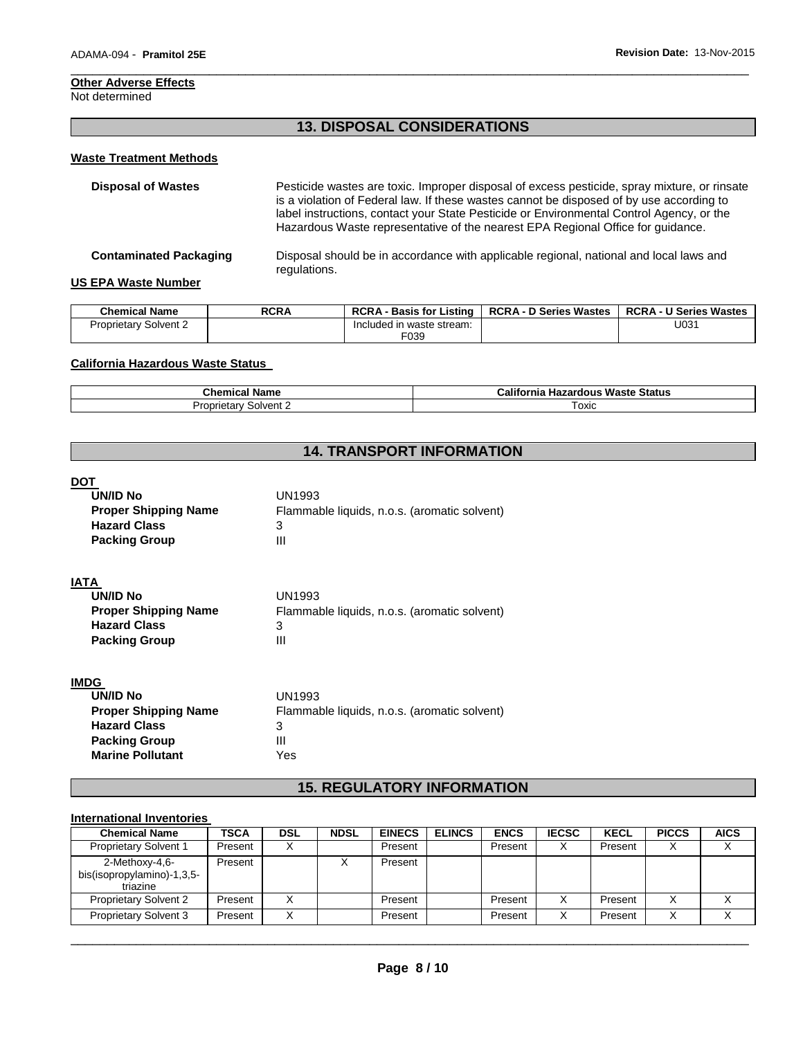# **Other Adverse Effects**

# Not determined

# **13. DISPOSAL CONSIDERATIONS**

\_\_\_\_\_\_\_\_\_\_\_\_\_\_\_\_\_\_\_\_\_\_\_\_\_\_\_\_\_\_\_\_\_\_\_\_\_\_\_\_\_\_\_\_\_\_\_\_\_\_\_\_\_\_\_\_\_\_\_\_\_\_\_\_\_\_\_\_\_\_\_\_\_\_\_\_\_\_\_\_\_\_\_\_\_\_\_\_\_\_\_\_\_

# **Waste Treatment Methods**

| <b>Disposal of Wastes</b>     | Pesticide wastes are toxic. Improper disposal of excess pesticide, spray mixture, or rinsate<br>is a violation of Federal law. If these wastes cannot be disposed of by use according to<br>label instructions, contact your State Pesticide or Environmental Control Agency, or the<br>Hazardous Waste representative of the nearest EPA Regional Office for quidance. |
|-------------------------------|-------------------------------------------------------------------------------------------------------------------------------------------------------------------------------------------------------------------------------------------------------------------------------------------------------------------------------------------------------------------------|
| <b>Contaminated Packaging</b> | Disposal should be in accordance with applicable regional, national and local laws and<br>regulations.                                                                                                                                                                                                                                                                  |
| <b>US EPA Waste Number</b>    |                                                                                                                                                                                                                                                                                                                                                                         |

| <b>Chemical Name</b>         | <b>RCRA</b> |                           | RCRA - Basis for Listing   RCRA - D Series Wastes   RCRA - U Series Wastes |      |
|------------------------------|-------------|---------------------------|----------------------------------------------------------------------------|------|
| <b>Proprietary Solvent 2</b> |             | Included in waste stream: |                                                                            | U031 |
|                              |             | F039                      |                                                                            |      |

# **California Hazardous Waste Status**

| <b>Chemical Name</b>     | <b>Hazardous Waste Status</b><br>California |  |
|--------------------------|---------------------------------------------|--|
| Solvent 2<br>Proprietary | ™охіс                                       |  |

# **14. TRANSPORT INFORMATION**

| DO<br><b>UN/ID No</b><br><b>Proper Shipping Name</b><br><b>Hazard Class</b><br><b>Packing Group</b> | UN1993<br>Flammable liquids, n.o.s. (aromatic solvent)<br>3<br>Ш |
|-----------------------------------------------------------------------------------------------------|------------------------------------------------------------------|
| <b>IATA</b><br><b>UN/ID No</b>                                                                      | UN1993                                                           |
|                                                                                                     |                                                                  |
| <b>Proper Shipping Name</b>                                                                         | Flammable liquids, n.o.s. (aromatic solvent)                     |
| <b>Hazard Class</b>                                                                                 | 3                                                                |
| <b>Packing Group</b>                                                                                | Ш                                                                |
| <b>IMDC</b>                                                                                         |                                                                  |

| טשוו                        |                                              |
|-----------------------------|----------------------------------------------|
| UN/ID No                    | UN1993                                       |
| <b>Proper Shipping Name</b> | Flammable liquids, n.o.s. (aromatic solvent) |
| <b>Hazard Class</b>         | 3                                            |
| <b>Packing Group</b>        | Ш                                            |
| <b>Marine Pollutant</b>     | Yes                                          |
|                             |                                              |

# **15. REGULATORY INFORMATION**

# **International Inventories**

| <b>Chemical Name</b>                                     | <b>TSCA</b> | DSL | <b>NDSL</b> | <b>EINECS</b> | <b>ELINCS</b> | <b>ENCS</b> | <b>IECSC</b> | <b>KECL</b> | <b>PICCS</b> | <b>AICS</b> |
|----------------------------------------------------------|-------------|-----|-------------|---------------|---------------|-------------|--------------|-------------|--------------|-------------|
| <b>Proprietary Solvent 1</b>                             | Present     |     |             | Present       |               | Present     | $\checkmark$ | Present     |              |             |
| 2-Methoxy-4,6-<br>bis(isopropylamino)-1,3,5-<br>triazine | Present     |     |             | Present       |               |             |              |             |              |             |
| <b>Proprietary Solvent 2</b>                             | Present     |     |             | Present       |               | Present     | Χ            | Present     |              |             |
| <b>Proprietary Solvent 3</b>                             | Present     |     |             | Present       |               | Present     | v            | Present     |              |             |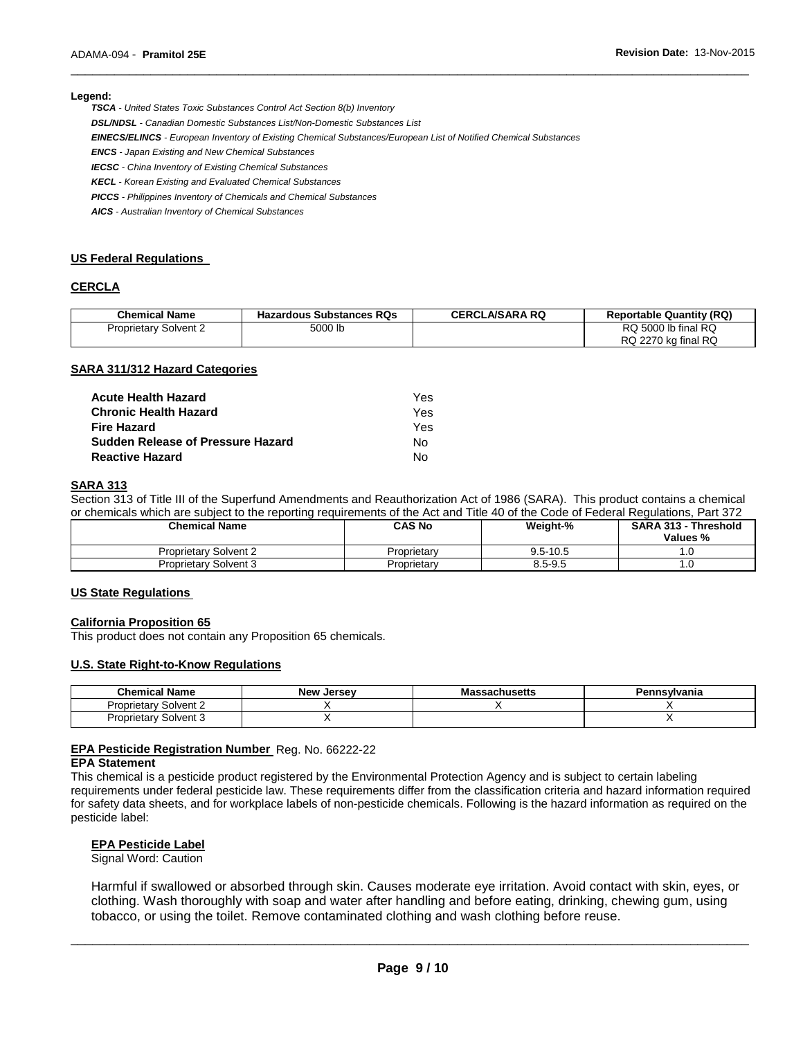#### **Legend:**

*TSCA - United States Toxic Substances Control Act Section 8(b) Inventory* 

*DSL/NDSL - Canadian Domestic Substances List/Non-Domestic Substances List* 

*EINECS/ELINCS - European Inventory of Existing Chemical Substances/European List of Notified Chemical Substances* 

*ENCS - Japan Existing and New Chemical Substances* 

*IECSC - China Inventory of Existing Chemical Substances* 

*KECL - Korean Existing and Evaluated Chemical Substances* 

*PICCS - Philippines Inventory of Chemicals and Chemical Substances* 

*AICS - Australian Inventory of Chemical Substances* 

#### **US Federal Regulations**

#### **CERCLA**

| <b>Chemical Name</b>         | <b>Hazardous Substances RQs</b> | <b>CERCLA/SARA RQ</b> | <b>Reportable Quantity (RQ)</b> |
|------------------------------|---------------------------------|-----------------------|---------------------------------|
| <b>Proprietary Solvent 2</b> | 5000 lb                         |                       | RQ 5000 lb final RQ             |
|                              |                                 |                       | RQ 2270 kg final RQ             |

\_\_\_\_\_\_\_\_\_\_\_\_\_\_\_\_\_\_\_\_\_\_\_\_\_\_\_\_\_\_\_\_\_\_\_\_\_\_\_\_\_\_\_\_\_\_\_\_\_\_\_\_\_\_\_\_\_\_\_\_\_\_\_\_\_\_\_\_\_\_\_\_\_\_\_\_\_\_\_\_\_\_\_\_\_\_\_\_\_\_\_\_\_

#### **SARA 311/312 Hazard Categories**

| Acute Health Hazard               | Yes. |
|-----------------------------------|------|
| Chronic Health Hazard             | Yes  |
| Fire Hazard                       | Yes  |
| Sudden Release of Pressure Hazard | N٥   |
| Reactive Hazard                   | N٥   |

# **SARA 313**

Section 313 of Title III of the Superfund Amendments and Reauthorization Act of 1986 (SARA). This product contains a chemical or chemicals which are subject to the reporting requirements of the Act and Title 40 of the Code of Federal Regulations, Part 372

| <b>Chemical Name</b>         | CAS No      | Weight-%     | SARA 313 - Threshold<br>Values % |
|------------------------------|-------------|--------------|----------------------------------|
| <b>Proprietary Solvent 2</b> | Proprietarv | $9.5 - 10.5$ | .u                               |
| Proprietary Solvent 3        | Proprietarv | 8.5-9.5      | ۱.U                              |

#### **US State Regulations**

#### **California Proposition 65**

This product does not contain any Proposition 65 chemicals.

#### **U.S. State Right-to-Know Regulations**

| <b>Chemical Name</b>         | <b>New Jersey</b> | Massachusetts | Pennsylvania |
|------------------------------|-------------------|---------------|--------------|
| <b>Proprietary Solvent 2</b> |                   |               |              |
| <b>Proprietary Solvent 3</b> |                   |               |              |

# **EPA Pesticide Registration Number** Reg. No. 66222-22

# **EPA Statement**

This chemical is a pesticide product registered by the Environmental Protection Agency and is subject to certain labeling requirements under federal pesticide law. These requirements differ from the classification criteria and hazard information required for safety data sheets, and for workplace labels of non-pesticide chemicals. Following is the hazard information as required on the pesticide label:

#### **EPA Pesticide Label**

Signal Word: Caution

Harmful if swallowed or absorbed through skin. Causes moderate eye irritation. Avoid contact with skin, eyes, or clothing. Wash thoroughly with soap and water after handling and before eating, drinking, chewing gum, using tobacco, or using the toilet. Remove contaminated clothing and wash clothing before reuse.